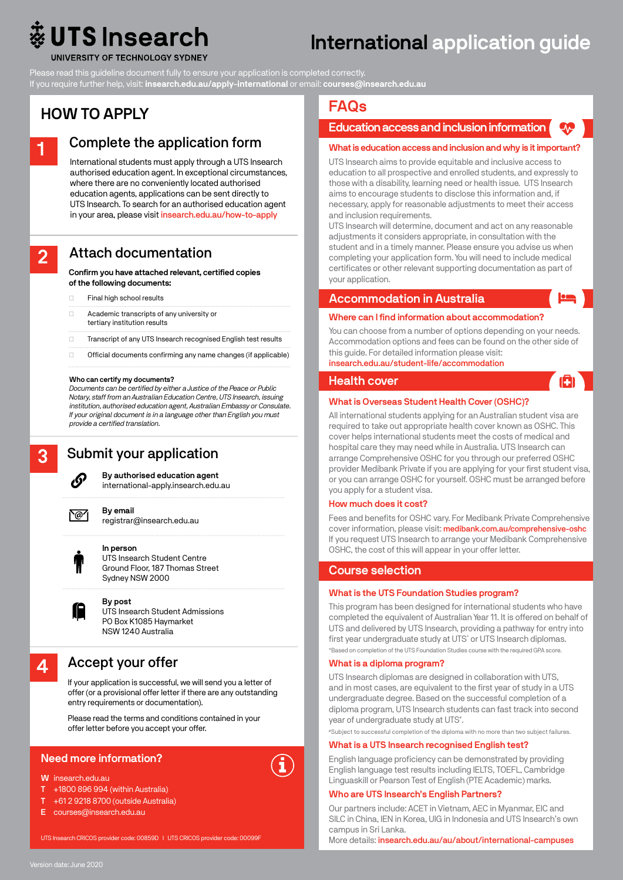# **UTS** Insearch

# International application guide

UNIVERSITY OF TECHNOLOGY SYDNEY

Please read this guideline document fully to ensure your application is completed correctly.

If you require further help, visit: **insearch.edu.au/apply-international** or email: **courses@insearch.edu.au**

# HOW TO APPLY



International students must apply through a UTS Insearch authorised education agent. In exceptional circumstances, where there are no conveniently located authorised education agents, applications can be sent directly to UTS Insearch. To search for an authorised education agent in your area, please visit insearch.edu.au/how-to-apply

# Attach documentation

Confirm you have attached relevant, certified copies of the following documents:

|  |  | Final high school results |
|--|--|---------------------------|
|  |  |                           |

| п | Academic transcripts of any university or |
|---|-------------------------------------------|
|   | tertiary institution results              |

- ✓ Transcript of any UTS Insearch recognised English test results
- ✓ Official documents confirming any name changes (if applicable)

#### Who can certify my documents?

*Documents can be certified by either a Justice of the Peace or Public Notary, staff from an Australian Education Centre, UTS Insearch, issuing institution, authorised education agent, Australian Embassy or Consulate. If your original document is in a language other than English you must provide a certified translation.*

# 3

2

# Submit your application



By authorised education agent international-apply.insearch.edu.au

`@7

# registrar@insearch.edu.au

By email



In person UTS Insearch Student Centre Ground Floor, 187 Thomas Street Sydney NSW 2000



UTS Insearch Student Admissions PO Box K1085 Haymarket NSW 1240 Australia

# 4

Accept your offer

If your application is successful, we will send you a letter of offer(or a provisional offer letter if there are any outstanding entry requirements or documentation).

Please read the terms and conditions contained in your offer letter before you accept your offer.

### Need more information?

#### W insearch.edu.au

- T +1800 896 994 (within Australia)
- +61 2 9218 8700 (outside Australia)
- E courses@insearch.edu.au



# FAQs

# Education access and inclusion information

#### What is education access and inclusion and why is it important?

UTS Insearch aims to provide equitable and inclusive access to education to all prospective and enrolled students, and expressly to those with a disability, learning need or health issue. UTS Insearch aims to encourage students to disclose this information and, if necessary, apply for reasonable adjustments to meet their access and inclusion requirements.

UTS Insearch will determine, document and act on any reasonable adjustments it considers appropriate, in consultation with the student and in a timely manner. Please ensure you advise us when completing your application form. You will need to include medical certificates or other relevant supporting documentation as part of your application.

#### Accommodation in Australia

#### Where can I find information about accommodation?

You can choose from a number of options depending on your needs. Accommodation options and fees can be found on the other side of this guide. For detailed information please visit: insearch.edu.au/student-life/accommodation

G

#### Health cover



All international students applying for an Australian student visa are required to take out appropriate health cover known as OSHC. This cover helps international students meet the costs of medical and hospital care they may need while in Australia. UTS Insearch can arrange Comprehensive OSHC for you through our preferred OSHC provider Medibank Private if you are applying for your first student visa, or you can arrange OSHC for yourself. OSHC must be arranged before you apply for a student visa.

#### How much does it cost?

Fees and benefits for OSHC vary. For Medibank Private Comprehensive cover information, please visit: medibank.com.au/comprehensive-oshc If you request UTS Insearch to arrange your Medibank Comprehensive OSHC, the cost of this will appear in your offer letter.

#### Course selection

#### What is the UTS Foundation Studies program?

This program has been designed for international students who have completed the equivalent of Australian Year 11. It is offered on behalf of UTS and delivered by UTS Insearch, providing a pathway for entry into first year undergraduate study at UTS<sup>\*</sup> or UTS Insearch diplomas. \*Based on completion of the UTS Foundation Studies course with the required GPA score.

#### What is a diploma program?

UTS Insearch diplomas are designed in collaboration with UTS, and in most cases, are equivalent to the first year of study in a UTS undergraduate degree. Based on the successful completion of a diploma program, UTS Insearch students can fast track into second year of undergraduate study at UTS<sup>#</sup>.

### #Subject to successful completion of the diploma with no more than two subject failures.

#### What is a UTS Insearch recognised English test?

English language proficiency can be demonstrated by providing English language test results including IELTS, TOEFL, Cambridge Linguaskill or Pearson Test of English (PTE Academic) marks.

#### Who are UTS Insearch's English Partners?

Our partners include: ACET in Vietnam, AEC in Myanmar, EIC and SILC in China, IEN in Korea, UIG in Indonesia and UTS Insearch's own campus in Sri Lanka.

More details: insearch.edu.au/au/about/international-campuses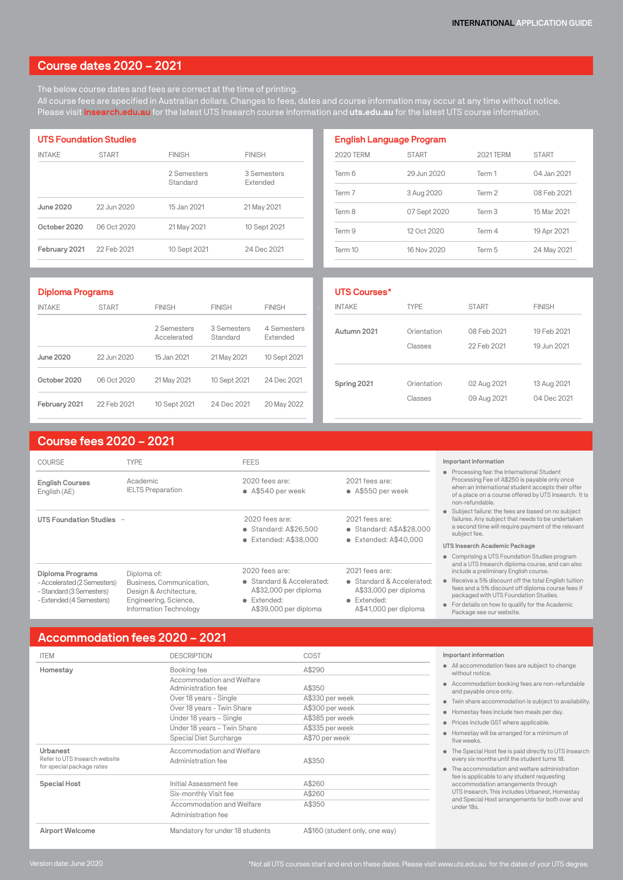# Course dates 2020 – 2021

The below course dates and fees are correct at the time of printing. All course fees are specified in Australian dollars. Changes to fees, dates and course information may occur at any time without notice. Please visit insearch.edu.au for the latest UTS Insearch course information and uts.edu.au for the latest UTS course information.

| <b>UTS Foundation Studies</b> |              |                         |                                |  |  |
|-------------------------------|--------------|-------------------------|--------------------------------|--|--|
| <b>INTAKE</b>                 | <b>START</b> | <b>FINISH</b>           | <b>FINISH</b>                  |  |  |
|                               |              | 2 Semesters<br>Standard | 3 Semesters<br><b>Extended</b> |  |  |
| June 2020                     | 22.Jun 2020  | 15 Jan 2021             | 21 May 2021                    |  |  |
| October 2020                  | 06 Oct 2020  | 21 May 2021             | 10 Sept 2021                   |  |  |
| February 2021                 | 22 Feb 2021  | 10 Sept 2021            | 24 Dec 2021                    |  |  |

| <b>2020 TERM</b> | <b>START</b> | <b>2021 TERM</b> | <b>START</b> |
|------------------|--------------|------------------|--------------|
| Term 6           | 29. Jun 2020 | Term 1           | 04. Jan 2021 |
| Term 7           | 3 Aug 2020   | Term 2           | 08 Feb 2021  |
| Term 8           | 07 Sept 2020 | Term 3           | 15 Mar 2021  |
| Term 9           | 12 Oct 2020  | Term 4           | 19 Apr 2021  |
| Term 10          | 16 Nov 2020  | Term 5           | 24 May 2021  |

| Diploma Programs |              |                            |                         |                         |  |
|------------------|--------------|----------------------------|-------------------------|-------------------------|--|
| <b>INTAKE</b>    | <b>START</b> | <b>FINISH</b>              | <b>FINISH</b>           | <b>FINISH</b>           |  |
|                  |              | 2 Semesters<br>Accelerated | 3 Semesters<br>Standard | 4 Semesters<br>Extended |  |
| <b>June 2020</b> | 22. lun 2020 | 15 Jan 2021                | 21 May 2021             | 10 Sept 2021            |  |
| October 2020     | 06 Oct 2020  | 21 May 2021                | 10 Sept 2021            | 24 Dec 2021             |  |
| February 2021    | 22 Feb 2021  | 10 Sept 2021               | 24 Dec 2021             | 20 May 2022             |  |

| UTS Courses*  |             |              |               |
|---------------|-------------|--------------|---------------|
| <b>INTAKE</b> | <b>TYPE</b> | <b>START</b> | <b>FINISH</b> |
| Autumn 2021   | Orientation | 08 Feb 2021  | 19 Feb 2021   |
|               | Classes     | 22 Feb 2021  | 19 Jun 2021   |
| Spring 2021   | Orientation | 02 Aug 2021  | 13 Aug 2021   |
|               | Classes     | 09 Aug 2021  | 04 Dec 2021   |

# Course fees 2020 – 2021

| COURSE                                                                              | <b>TYPE</b>                                                                                           | <b>FEES</b>                                                                                |                                                                                            | Important information                                                                                                                                                                                                                          |
|-------------------------------------------------------------------------------------|-------------------------------------------------------------------------------------------------------|--------------------------------------------------------------------------------------------|--------------------------------------------------------------------------------------------|------------------------------------------------------------------------------------------------------------------------------------------------------------------------------------------------------------------------------------------------|
| <b>English Courses</b><br>English (AE)                                              | Academic<br><b>IELTS Preparation</b>                                                                  | 2020 fees are:<br>$\bullet$ A\$540 per week                                                | 2021 fees are:<br>$\bullet$ A\$550 per week                                                | • Processing fee: the International Student<br>Processing Fee of A\$250 is payable only once<br>when an international student accepts their offer<br>of a place on a course offered by UTS Insearch. It is<br>non-refundable.                  |
| UTS Foundation Studies -                                                            |                                                                                                       | 2020 fees are:<br>$\bullet$ Standard: A\$26.500<br>• Extended: A\$38,000                   | 2021 fees are:<br>• Standard: A\$A\$28,000<br>$\bullet$ Extended: A\$40,000                | • Subject failure: the fees are based on no subject<br>failures. Any subject that needs to be undertaken<br>a second time will require payment of the relevant<br>subject fee.                                                                 |
|                                                                                     |                                                                                                       |                                                                                            |                                                                                            | UTS Insearch Academic Package                                                                                                                                                                                                                  |
|                                                                                     |                                                                                                       |                                                                                            |                                                                                            | • Comprising a UTS Foundation Studies program<br>and a UTS Insearch diploma course, and can also                                                                                                                                               |
| Diploma Programs                                                                    | Diploma of:                                                                                           | 2020 fees are:                                                                             | 2021 fees are:                                                                             | include a preliminary English course.                                                                                                                                                                                                          |
| - Accelerated (2 Semesters)<br>- Standard (3 Semesters)<br>- Extended (4 Semesters) | Business, Communication.<br>Design & Architecture,<br>Engineering, Science,<br>Information Technology | • Standard & Accelerated:<br>A\$32,000 per diploma<br>• Extended:<br>A\$39,000 per diploma | • Standard & Accelerated:<br>A\$33,000 per diploma<br>• Extended:<br>A\$41,000 per diploma | • Receive a 5% discount off the total English tuition<br>fees and a 5% discount off diploma course fees if<br>packaged with UTS Foundation Studies.<br>For details on how to qualify for the Academic<br>$\bullet$<br>Package see our website. |

# Accommodation fees 2020 – 2021

| <b>ITEM</b>                                                | <b>DESCRIPTION</b>              | COST                           |
|------------------------------------------------------------|---------------------------------|--------------------------------|
| Homestay                                                   | Booking fee                     | A\$290                         |
|                                                            | Accommodation and Welfare       |                                |
|                                                            | Administration fee              | A\$350                         |
|                                                            | Over 18 years - Single          | A\$330 per week                |
|                                                            | Over 18 years - Twin Share      | A\$300 per week                |
|                                                            | Under 18 years - Single         | A\$385 per week                |
|                                                            | Under 18 years - Twin Share     | A\$335 per week                |
|                                                            | Special Diet Surcharge          | A\$70 per week                 |
| Urbanest                                                   | Accommodation and Welfare       |                                |
| Refer to UTS Insearch website<br>for special package rates | Administration fee              | A\$350                         |
| Special Host                                               | Initial Assessment fee          | A\$260                         |
|                                                            | Six-monthly Visit fee           | A\$260                         |
|                                                            | Accommodation and Welfare       | A\$350                         |
|                                                            | Administration fee              |                                |
| Airport Welcome                                            | Mandatory for under 18 students | A\$160 (student only, one way) |

#### Important information

• All accommodation fees are subject to change without notice.

- Accommodation booking fees are non-refundable and payable once only.
- Twin share accommodation is subject to availability.
- Homestay fees include two meals per day.
- Prices include GST where applicable.
- Homestay will be arranged for a minimum of five weeks.
- The Special Host fee is paid directly to UTS Insearch every six months until the student turns 18.
- The accommodation and welfare administration fee is applicable to any student requesting accommodation arrangements through UTS Insearch. This includes Urbanest, Homestay and Special Host arrangements for both over and under 18s.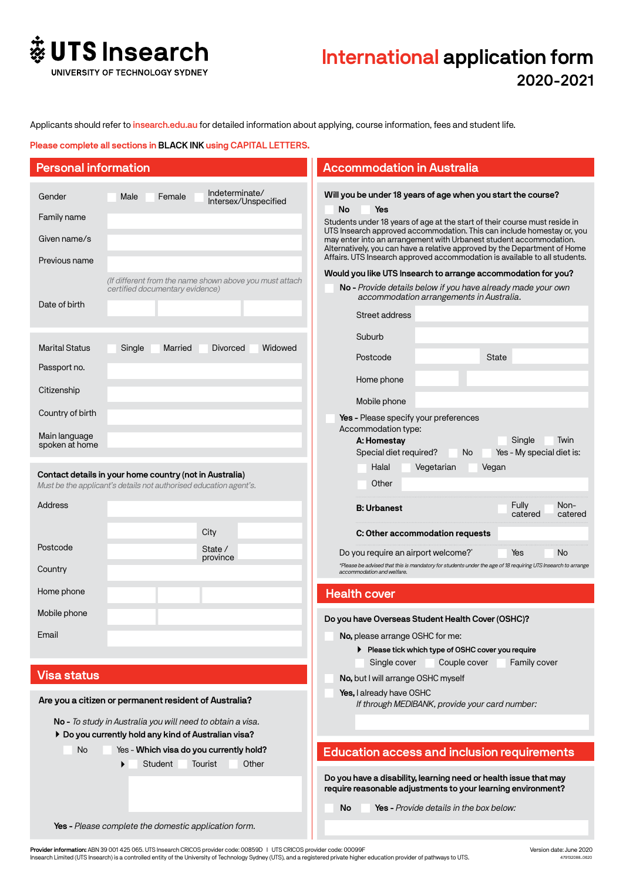

# International application form 2020-2021

Applicants should refer to insearch.edu.au for detailed information about applying, course information, fees and student life.

Please complete all sections in BLACK INK using CAPITAL LETTERS.

| <b>Personal information</b>                            |                                                                                                                                                                             |                                                         | <b>Accommodation in Australia</b>                                                                                                                                                                                                                                                                                                                                                                                                                                                                                                   |                                              |
|--------------------------------------------------------|-----------------------------------------------------------------------------------------------------------------------------------------------------------------------------|---------------------------------------------------------|-------------------------------------------------------------------------------------------------------------------------------------------------------------------------------------------------------------------------------------------------------------------------------------------------------------------------------------------------------------------------------------------------------------------------------------------------------------------------------------------------------------------------------------|----------------------------------------------|
| Gender<br>Family name<br>Given name/s<br>Previous name | Female<br>Male                                                                                                                                                              | Indeterminate/<br>Intersex/Unspecified                  | Will you be under 18 years of age when you start the course?<br>No<br>Yes<br>Students under 18 years of age at the start of their course must reside in<br>UTS Insearch approved accommodation. This can include homestay or, you<br>may enter into an arrangement with Urbanest student accommodation.<br>Alternatively, you can have a relative approved by the Department of Home<br>Affairs. UTS Insearch approved accommodation is available to all students.<br>Would you like UTS Insearch to arrange accommodation for you? |                                              |
| Date of birth                                          | certified documentary evidence)                                                                                                                                             | (If different from the name shown above you must attach | No - Provide details below if you have already made your own<br>accommodation arrangements in Australia.<br>Street address                                                                                                                                                                                                                                                                                                                                                                                                          |                                              |
| <b>Marital Status</b><br>Passport no.<br>Citizenship   | Single<br>Married                                                                                                                                                           | Widowed<br><b>Divorced</b>                              | Suburb<br>Postcode<br>Home phone                                                                                                                                                                                                                                                                                                                                                                                                                                                                                                    | <b>State</b>                                 |
| Country of birth<br>Main language<br>spoken at home    |                                                                                                                                                                             |                                                         | Mobile phone<br>Yes - Please specify your preferences<br>Accommodation type:<br>A: Homestay<br>Special diet required?<br>N <sub>o</sub>                                                                                                                                                                                                                                                                                                                                                                                             | Single<br>Twin<br>Yes - My special diet is:  |
| Address                                                | Contact details in your home country (not in Australia)<br>Must be the applicant's details not authorised education agent's.                                                |                                                         | Halal<br>Vegetarian<br>Other<br><b>B: Urbanest</b>                                                                                                                                                                                                                                                                                                                                                                                                                                                                                  | Vegan<br>Fully<br>Non-<br>catered<br>catered |
| Postcode<br>Country                                    |                                                                                                                                                                             | City<br>State /<br>province                             | C: Other accommodation requests<br>Do you require an airport welcome? <sup>*</sup><br>*Please be advised that this is mandatory for students under the age of 18 requiring UTS Insearch to arrange<br>accommodation and welfare.                                                                                                                                                                                                                                                                                                    | No<br>Yes                                    |
| Home phone                                             |                                                                                                                                                                             |                                                         | <b>Health cover</b>                                                                                                                                                                                                                                                                                                                                                                                                                                                                                                                 |                                              |
| Mobile phone<br>Email                                  |                                                                                                                                                                             |                                                         | Do you have Overseas Student Health Cover (OSHC)?<br>No, please arrange OSHC for me:<br>Please tick which type of OSHC cover you require<br>Single cover<br>Couple cover                                                                                                                                                                                                                                                                                                                                                            | Family cover                                 |
| <b>Visa status</b>                                     | Are you a citizen or permanent resident of Australia?                                                                                                                       |                                                         | No, but I will arrange OSHC myself<br>Yes, I already have OSHC<br>If through MEDIBANK, provide your card number:                                                                                                                                                                                                                                                                                                                                                                                                                    |                                              |
| No                                                     | No - To study in Australia you will need to obtain a visa.<br>Do you currently hold any kind of Australian visa?<br>Yes - Which visa do you currently hold?<br>Student<br>▶ | Tourist<br>Other                                        | <b>Education access and inclusion requirements</b>                                                                                                                                                                                                                                                                                                                                                                                                                                                                                  |                                              |
|                                                        |                                                                                                                                                                             |                                                         | Do you have a disability, learning need or health issue that may<br>require reasonable adjustments to your learning environment?<br>Yes - Provide details in the box below:<br>No                                                                                                                                                                                                                                                                                                                                                   |                                              |
|                                                        | Yes - Please complete the domestic application form.                                                                                                                        |                                                         |                                                                                                                                                                                                                                                                                                                                                                                                                                                                                                                                     |                                              |

P**rovider information:** ABN 39 001 425 065. UTS Insearch CRICOS provider code: 00859D I UTS CRICOS provider code: 00099F<br>Insearch Limited (UTS Insearch) is a controlled entity of the University of Technology Sydney (UTS